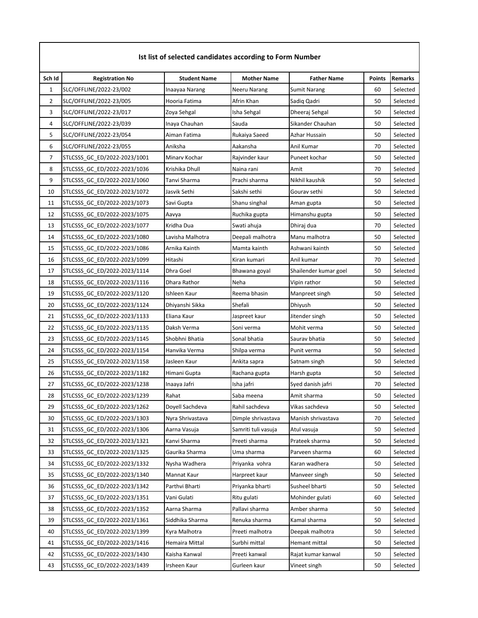| Sch Id         | <b>Registration No</b>       | <b>Student Name</b> | <b>Mother Name</b>  | <b>Father Name</b>    | <b>Points</b> | <b>Remarks</b> |
|----------------|------------------------------|---------------------|---------------------|-----------------------|---------------|----------------|
| $\mathbf{1}$   | SLC/OFFLINE/2022-23/002      | Inaayaa Narang      | Neeru Narang        | <b>Sumit Narang</b>   | 60            | Selected       |
| $\overline{2}$ | SLC/OFFLINE/2022-23/005      | Hooria Fatima       | Afrin Khan          | Sadiq Qadri           | 50            | Selected       |
| 3              | SLC/OFFLINE/2022-23/017      | Zoya Sehgal         | Isha Sehgal         | Dheeraj Sehgal        | 50            | Selected       |
| 4              | SLC/OFFLINE/2022-23/039      | Inaya Chauhan       | Sauda               | Sikander Chauhan      | 50            | Selected       |
| 5              | SLC/OFFLINE/2022-23/054      | Aiman Fatima        | Rukaiya Saeed       | Azhar Hussain         | 50            | Selected       |
| 6              | SLC/OFFLINE/2022-23/055      | Aniksha             | Aakansha            | Anil Kumar            | 70            | Selected       |
| 7              | STLCSSS_GC_ED/2022-2023/1001 | Minary Kochar       | Rajvinder kaur      | Puneet kochar         | 50            | Selected       |
| 8              | STLCSSS_GC_ED/2022-2023/1036 | Krishika Dhull      | Naina rani          | Amit                  | 70            | Selected       |
| 9              | STLCSSS_GC_ED/2022-2023/1060 | Tanvi Sharma        | Prachi sharma       | Nikhil kaushik        | 50            | Selected       |
| 10             | STLCSSS_GC_ED/2022-2023/1072 | Jasvik Sethi        | Sakshi sethi        | Gourav sethi          | 50            | Selected       |
| 11             | STLCSSS_GC_ED/2022-2023/1073 | Savi Gupta          | Shanu singhal       | Aman gupta            | 50            | Selected       |
| 12             | STLCSSS_GC_ED/2022-2023/1075 | Aavya               | Ruchika gupta       | Himanshu gupta        | 50            | Selected       |
| 13             | STLCSSS_GC_ED/2022-2023/1077 | Kridha Dua          | Swati ahuja         | Dhiraj dua            | 70            | Selected       |
| 14             | STLCSSS GC ED/2022-2023/1080 | Lavisha Malhotra    | Deepali malhotra    | Manu malhotra         | 50            | Selected       |
| 15             | STLCSSS_GC_ED/2022-2023/1086 | Arnika Kainth       | Mamta kainth        | Ashwani kainth        | 50            | Selected       |
| 16             | STLCSSS_GC_ED/2022-2023/1099 | Hitashi             | Kiran kumari        | Anil kumar            | 70            | Selected       |
| 17             | STLCSSS GC ED/2022-2023/1114 | Dhra Goel           | Bhawana goyal       | Shailender kumar goel | 50            | Selected       |
| 18             | STLCSSS_GC_ED/2022-2023/1116 | Dhara Rathor        | Neha                | Vipin rathor          | 50            | Selected       |
| 19             | STLCSSS_GC_ED/2022-2023/1120 | Ishleen Kaur        | Reema bhasin        | Manpreet singh        | 50            | Selected       |
| 20             | STLCSSS_GC_ED/2022-2023/1124 | Dhiyanshi Sikka     | Shefali             | Dhiyush               | 50            | Selected       |
| 21             | STLCSSS_GC_ED/2022-2023/1133 | Eliana Kaur         | Jaspreet kaur       | Jitender singh        | 50            | Selected       |
| 22             | STLCSSS_GC_ED/2022-2023/1135 | Daksh Verma         | Soni verma          | Mohit verma           | 50            | Selected       |
| 23             | STLCSSS_GC_ED/2022-2023/1145 | Shobhni Bhatia      | Sonal bhatia        | Saurav bhatia         | 50            | Selected       |
| 24             | STLCSSS_GC_ED/2022-2023/1154 | Hanvika Verma       | Shilpa verma        | Punit verma           | 50            | Selected       |
| 25             | STLCSSS_GC_ED/2022-2023/1158 | Jasleen Kaur        | Ankita sapra        | Satnam singh          | 50            | Selected       |
| 26             | STLCSSS_GC_ED/2022-2023/1182 | Himani Gupta        | Rachana gupta       | Harsh gupta           | 50            | Selected       |
| 27             | STLCSSS_GC_ED/2022-2023/1238 | Inaaya Jafri        | Isha jafri          | Syed danish jafri     | 70            | Selected       |
| 28             | STLCSSS GC ED/2022-2023/1239 | Rahat               | Saba meena          | Amit sharma           | 50            | Selected       |
| 29             | STLCSSS GC ED/2022-2023/1262 | Doyell Sachdeva     | Rahil sachdeva      | Vikas sachdeva        | 50            | Selected       |
| 30             | STLCSSS_GC_ED/2022-2023/1303 | Nyra Shrivastava    | Dimple shrivastava  | Manish shrivastava    | 70            | Selected       |
| 31             | STLCSSS_GC_ED/2022-2023/1306 | Aarna Vasuja        | Samriti tuli vasuja | Atul vasuja           | 50            | Selected       |
| 32             | STLCSSS_GC_ED/2022-2023/1321 | Kanvi Sharma        | Preeti sharma       | Prateek sharma        | 50            | Selected       |
| 33             | STLCSSS_GC_ED/2022-2023/1325 | Gaurika Sharma      | Uma sharma          | Parveen sharma        | 60            | Selected       |
| 34             | STLCSSS GC ED/2022-2023/1332 | Nysha Wadhera       | Priyanka vohra      | Karan wadhera         | 50            | Selected       |
| 35             | STLCSSS_GC_ED/2022-2023/1340 | Mannat Kaur         | Harpreet kaur       | Manveer singh         | 50            | Selected       |
| 36             | STLCSSS_GC_ED/2022-2023/1342 | Parthvi Bharti      | Priyanka bharti     | Susheel bharti        | 50            | Selected       |
| 37             | STLCSSS GC ED/2022-2023/1351 | Vani Gulati         | Ritu gulati         | Mohinder gulati       | 60            | Selected       |
| 38             | STLCSSS_GC_ED/2022-2023/1352 | Aarna Sharma        | Pallavi sharma      | Amber sharma          | 50            | Selected       |
| 39             | STLCSSS_GC_ED/2022-2023/1361 | Siddhika Sharma     | Renuka sharma       | Kamal sharma          | 50            | Selected       |
| 40             | STLCSSS GC ED/2022-2023/1399 | Kyra Malhotra       | Preeti malhotra     | Deepak malhotra       | 50            | Selected       |
| 41             | STLCSSS_GC_ED/2022-2023/1416 | Hemaira Mittal      | Surbhi mittal       | Hemant mittal         | 50            | Selected       |
| 42             | STLCSSS_GC_ED/2022-2023/1430 | Kaisha Kanwal       | Preeti kanwal       | Rajat kumar kanwal    | 50            | Selected       |
| 43             | STLCSSS_GC_ED/2022-2023/1439 | Irsheen Kaur        | Gurleen kaur        | Vineet singh          | 50            | Selected       |
|                |                              |                     |                     |                       |               |                |